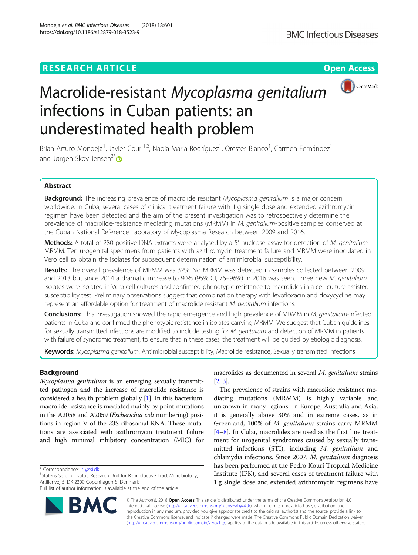https://doi.org/10.1186/s12879-018-3523-9

Mondeja et al. BMC Infectious Diseases (2018) 18:601



# Macrolide-resistant Mycoplasma genitalium infections in Cuban patients: an underestimated health problem

Brian Arturo Mondeja<sup>1</sup>, Javier Couri<sup>1,2</sup>, Nadia Maria Rodríguez<sup>1</sup>, Orestes Blanco<sup>1</sup>, Carmen Fernández<sup>1</sup> and Jørgen Skov Jensen<sup>3[\\*](http://orcid.org/0000-0002-7464-7435)</sup>

# Abstract

Background: The increasing prevalence of macrolide resistant Mycoplasma genitalium is a major concern worldwide. In Cuba, several cases of clinical treatment failure with 1 g single dose and extended azithromycin regimen have been detected and the aim of the present investigation was to retrospectively determine the prevalence of macrolide-resistance mediating mutations (MRMM) in M. genitalium-positive samples conserved at the Cuban National Reference Laboratory of Mycoplasma Research between 2009 and 2016.

Methods: A total of 280 positive DNA extracts were analysed by a 5' nuclease assay for detection of M. genitalium MRMM. Ten urogenital specimens from patients with azithromycin treatment failure and MRMM were inoculated in Vero cell to obtain the isolates for subsequent determination of antimicrobial susceptibility.

Results: The overall prevalence of MRMM was 32%. No MRMM was detected in samples collected between 2009 and 2013 but since 2014 a dramatic increase to 90% (95% CI, 76-96%) in 2016 was seen. Three new M. genitalium isolates were isolated in Vero cell cultures and confirmed phenotypic resistance to macrolides in a cell-culture assisted susceptibility test. Preliminary observations suggest that combination therapy with levofloxacin and doxycycline may represent an affordable option for treatment of macrolide resistant M. genitalium infections.

Conclusions: This investigation showed the rapid emergence and high prevalence of MRMM in M. genitalium-infected patients in Cuba and confirmed the phenotypic resistance in isolates carrying MRMM. We suggest that Cuban guidelines for sexually transmitted infections are modified to include testing for M. genitalium and detection of MRMM in patients with failure of syndromic treatment, to ensure that in these cases, the treatment will be guided by etiologic diagnosis.

Keywords: Mycoplasma genitalium, Antimicrobial susceptibility, Macrolide resistance, Sexually transmitted infections

# Background

Mycoplasma genitalium is an emerging sexually transmitted pathogen and the increase of macrolide resistance is considered a health problem globally [\[1\]](#page-5-0). In this bacterium, macrolide resistance is mediated mainly by point mutations in the A2058 and A2059 (Escherichia coli numbering) positions in region V of the 23S ribosomal RNA. These mutations are associated with azithromycin treatment failure and high minimal inhibitory concentration (MIC) for

\* Correspondence: [jsj@ssi.dk](mailto:jsj@ssi.dk) <sup>3</sup>

<sup>3</sup>Statens Serum Institut, Research Unit for Reproductive Tract Microbiology, Artillerivej 5, DK-2300 Copenhagen S, Denmark

Full list of author information is available at the end of the article



macrolides as documented in several M. genitalium strains [[2](#page-5-0), [3\]](#page-5-0).

The prevalence of strains with macrolide resistance mediating mutations (MRMM) is highly variable and unknown in many regions. In Europe, Australia and Asia, it is generally above 30% and in extreme cases, as in Greenland, 100% of M. genitalium strains carry MRMM [[4](#page-5-0)–[8](#page-5-0)]. In Cuba, macrolides are used as the first line treatment for urogenital syndromes caused by sexually transmitted infections (STI), including M. genitalium and chlamydia infections. Since 2007, M. genitalium diagnosis has been performed at the Pedro Kourí Tropical Medicine Institute (IPK), and several cases of treatment failure with 1 g single dose and extended azithromycin regimens have

© The Author(s). 2018 Open Access This article is distributed under the terms of the Creative Commons Attribution 4.0 International License [\(http://creativecommons.org/licenses/by/4.0/](http://creativecommons.org/licenses/by/4.0/)), which permits unrestricted use, distribution, and reproduction in any medium, provided you give appropriate credit to the original author(s) and the source, provide a link to the Creative Commons license, and indicate if changes were made. The Creative Commons Public Domain Dedication waiver [\(http://creativecommons.org/publicdomain/zero/1.0/](http://creativecommons.org/publicdomain/zero/1.0/)) applies to the data made available in this article, unless otherwise stated.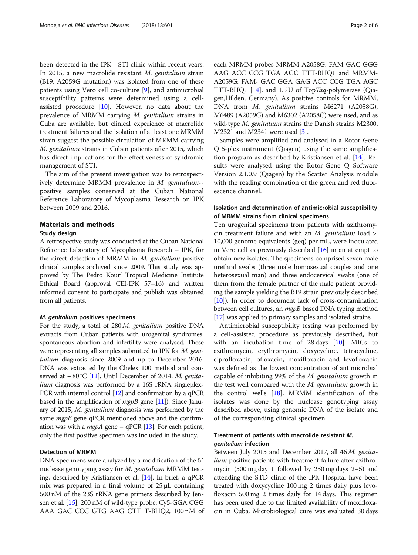been detected in the IPK - STI clinic within recent years. In 2015, a new macrolide resistant M. genitalium strain (B19, A2059G mutation) was isolated from one of these patients using Vero cell co-culture [\[9](#page-5-0)], and antimicrobial susceptibility patterns were determined using a cellassisted procedure [[10](#page-5-0)]. However, no data about the prevalence of MRMM carrying M. genitalium strains in Cuba are available, but clinical experience of macrolide treatment failures and the isolation of at least one MRMM strain suggest the possible circulation of MRMM carrying M. genitalium strains in Cuban patients after 2015, which has direct implications for the effectiveness of syndromic management of STI.

The aim of the present investigation was to retrospectively determine MRMM prevalence in M. genitalium- positive samples conserved at the Cuban National Reference Laboratory of Mycoplasma Research on IPK between 2009 and 2016.

# Materials and methods

# Study design

A retrospective study was conducted at the Cuban National Reference Laboratory of Mycoplasma Research – IPK, for the direct detection of MRMM in M. genitalium positive clinical samples archived since 2009. This study was approved by The Pedro Kourí Tropical Medicine Institute Ethical Board (approval CEI-IPK 57–16) and written informed consent to participate and publish was obtained from all patients.

#### M. genitalium positives specimens

For the study, a total of 280 M. genitalium positive DNA extracts from Cuban patients with urogenital syndromes, spontaneous abortion and infertility were analysed. These were representing all samples submitted to IPK for M. genitalium diagnosis since 2009 and up to December 2016. DNA was extracted by the Chelex 100 method and con-served at −80 °C [[11](#page-5-0)]. Until December of 2014, M. genitalium diagnosis was performed by a 16S rRNA singleplex-PCR with internal control [\[12\]](#page-5-0) and confirmation by a qPCR based in the amplification of  $mqpB$  gene [[11](#page-5-0)]). Since January of 2015, M. genitalium diagnosis was performed by the same *mgpB* gene qPCR mentioned above and the confirmation was with a *mgpA* gene – qPCR [\[13\]](#page-5-0). For each patient, only the first positive specimen was included in the study.

#### Detection of MRMM

DNA specimens were analyzed by a modification of the 5′ nuclease genotyping assay for M. genitalium MRMM testing, described by Kristiansen et al. [[14](#page-5-0)]. In brief, a qPCR mix was prepared in a final volume of 25 μL containing 500 nM of the 23S rRNA gene primers described by Jensen et al. [\[15](#page-5-0)], 200 nM of wild-type probe: Cy5-GGA CGG AAA GAC CCC GTG AAG CTT T-BHQ2, 100 nM of each MRMM probes MRMM-A2058G: FAM-GAC GGG AAG ACC CCG TGA AGC TTT-BHQ1 and MRMM-A2059G: FAM- GAC GGA GAG ACC CCG TGA AGC TTT-BHQ1 [[14](#page-5-0)], and 1.5 U of TopTaq-polymerase (Qiagen,Hilden, Germany). As positive controls for MRMM, DNA from M. genitalium strains M6271 (A2058G), M6489 (A2059G) and M6302 (A2058C) were used, and as wild-type *M. genitalium* strains the Danish strains M2300, M2321 and M2341 were used [[3](#page-5-0)].

Samples were amplified and analysed in a Rotor-Gene Q 5-plex instrument (Qiagen) using the same amplification program as described by Kristiansen et al. [[14\]](#page-5-0). Results were analysed using the Rotor-Gene Q Software Version 2.1.0.9 (Qiagen) by the Scatter Analysis module with the reading combination of the green and red fluorescence channel.

# Isolation and determination of antimicrobial susceptibility of MRMM strains from clinical specimens

Ten urogenital specimens from patients with azithromycin treatment failure and with an  $M$ . genitalium load > 10,000 genome equivalents (geq) per mL, were inoculated in Vero cell as previously described [[16](#page-5-0)] in an attempt to obtain new isolates. The specimens comprised seven male urethral swabs (three male homosexual couples and one heterosexual man) and three endocervical swabs (one of them from the female partner of the male patient providing the sample yielding the B19 strain previously described [[10](#page-5-0)]). In order to document lack of cross-contamination between cell cultures, an *mgpB* based DNA typing method [[17](#page-5-0)] was applied to primary samples and isolated strains.

Antimicrobial susceptibility testing was performed by a cell-assisted procedure as previously described, but with an incubation time of 28 days [[10\]](#page-5-0). MICs to azithromycin, erythromycin, doxycycline, tetracycline, ciprofloxacin, ofloxacin, moxifloxacin and levofloxacin was defined as the lowest concentration of antimicrobial capable of inhibiting 99% of the M. genitalium growth in the test well compared with the M. genitalium growth in the control wells  $[18]$  $[18]$ . MRMM identification of the isolates was done by the nuclease genotyping assay described above, using genomic DNA of the isolate and of the corresponding clinical specimen.

# Treatment of patients with macrolide resistant M. genitalium infection

Between July 2015 and December 2017, all 46 M. genitalium positive patients with treatment failure after azithromycin (500 mg day 1 followed by 250 mg days 2–5) and attending the STD clinic of the IPK Hospital have been treated with doxycycline 100 mg 2 times daily plus levofloxacin 500 mg 2 times daily for 14 days. This regimen has been used due to the limited availability of moxifloxacin in Cuba. Microbiological cure was evaluated 30 days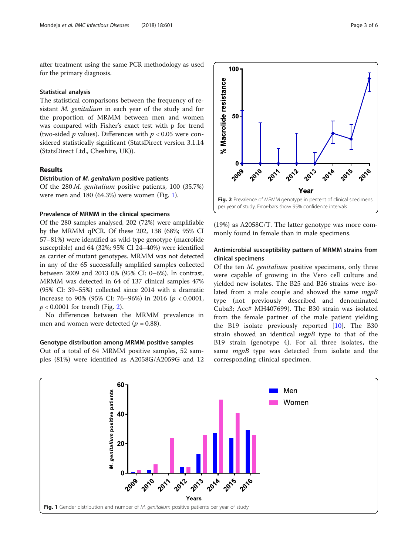after treatment using the same PCR methodology as used for the primary diagnosis.

## Statistical analysis

The statistical comparisons between the frequency of resistant M. genitalium in each year of the study and for the proportion of MRMM between men and women was compared with Fisher's exact test with p for trend (two-sided  $p$  values). Differences with  $p < 0.05$  were considered statistically significant (StatsDirect version 3.1.14 (StatsDirect Ltd., Cheshire, UK)).

# Results

#### Distribution of M. genitalium positive patients

Of the 280 M. genitalium positive patients, 100 (35.7%) were men and 180 (64.3%) were women (Fig. 1).

#### Prevalence of MRMM in the clinical specimens

Of the 280 samples analysed, 202 (72%) were amplifiable by the MRMM qPCR. Of these 202, 138 (68%; 95% CI 57–81%) were identified as wild-type genotype (macrolide susceptible) and 64 (32%; 95% CI 24–40%) were identified as carrier of mutant genotypes. MRMM was not detected in any of the 65 successfully amplified samples collected between 2009 and 2013 0% (95% CI: 0–6%). In contrast, MRMM was detected in 64 of 137 clinical samples 47% (95% CI: 39–55%) collected since 2014 with a dramatic increase to 90% (95% CI: 76–96%) in 2016 ( $p < 0.0001$ ,  $p < 0.0001$  for trend) (Fig. 2).

No differences between the MRMM prevalence in men and women were detected ( $p = 0.88$ ).

#### Genotype distribution among MRMM positive samples

Out of a total of 64 MRMM positive samples, 52 samples (81%) were identified as A2058G/A2059G and 12



(19%) as A2058C/T. The latter genotype was more commonly found in female than in male specimens.

# Antimicrobial susceptibility pattern of MRMM strains from clinical specimens

Of the ten M. genitalium positive specimens, only three were capable of growing in the Vero cell culture and yielded new isolates. The B25 and B26 strains were isolated from a male couple and showed the same mgpB type (not previously described and denominated Cuba3; Acc# MH407699). The B30 strain was isolated from the female partner of the male patient yielding the B19 isolate previously reported  $[10]$  $[10]$ . The B30 strain showed an identical mgpB type to that of the B19 strain (genotype 4). For all three isolates, the same *mgpB* type was detected from isolate and the corresponding clinical specimen.

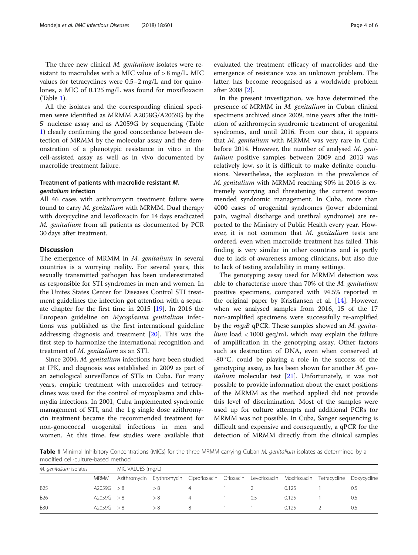The three new clinical M. genitalium isolates were resistant to macrolides with a MIC value of > 8 mg/L. MIC values for tetracyclines were 0.5–2 mg/L and for quinolones, a MIC of 0.125 mg/L was found for moxifloxacin (Table 1).

All the isolates and the corresponding clinical specimen were identified as MRMM A2058G/A2059G by the 5' nuclease assay and as A2059G by sequencing (Table 1) clearly confirming the good concordance between detection of MRMM by the molecular assay and the demonstration of a phenotypic resistance in vitro in the cell-assisted assay as well as in vivo documented by macrolide treatment failure.

# Treatment of patients with macrolide resistant M. genitalium infection

All 46 cases with azithromycin treatment failure were found to carry M. genitalium with MRMM. Dual therapy with doxycycline and levofloxacin for 14 days eradicated M. genitalium from all patients as documented by PCR 30 days after treatment.

# **Discussion**

The emergence of MRMM in *M. genitalium* in several countries is a worrying reality. For several years, this sexually transmitted pathogen has been underestimated as responsible for STI syndromes in men and women. In the Unites States Center for Diseases Control STI treatment guidelines the infection got attention with a separate chapter for the first time in 2015 [[19\]](#page-5-0). In 2016 the European guideline on Mycoplasma genitalium infections was published as the first international guideline addressing diagnosis and treatment [[20\]](#page-5-0). This was the first step to harmonize the international recognition and treatment of M. genitalium as an STI.

Since 2004, M. genitalium infections have been studied at IPK, and diagnosis was established in 2009 as part of an aetiological surveillance of STIs in Cuba. For many years, empiric treatment with macrolides and tetracyclines was used for the control of mycoplasma and chlamydia infections. In 2001, Cuba implemented syndromic management of STI, and the 1 g single dose azithromycin treatment became the recommended treatment for non-gonococcal urogenital infections in men and women. At this time, few studies were available that after 2008 [[2\]](#page-5-0).

In the present investigation, we have determined the presence of MRMM in M. genitalium in Cuban clinical specimens archived since 2009, nine years after the initiation of azithromycin syndromic treatment of urogenital syndromes, and until 2016. From our data, it appears that M. genitalium with MRMM was very rare in Cuba before 2014. However, the number of analysed M. genitalium positive samples between 2009 and 2013 was relatively low, so it is difficult to make definite conclusions. Nevertheless, the explosion in the prevalence of M. genitalium with MRMM reaching 90% in 2016 is extremely worrying and threatening the current recommended syndromic management. In Cuba, more than 4000 cases of urogenital syndromes (lower abdominal pain, vaginal discharge and urethral syndrome) are reported to the Ministry of Public Health every year. However, it is not common that M. genitalium tests are ordered, even when macrolide treatment has failed. This finding is very similar in other countries and is partly due to lack of awareness among clinicians, but also due to lack of testing availability in many settings.

The genotyping assay used for MRMM detection was able to characterise more than 70% of the M. genitalium positive specimens, compared with 94.5% reported in the original paper by Kristiansen et al. [[14](#page-5-0)]. However, when we analysed samples from 2016, 15 of the 17 non-amplified specimens were successfully re-amplified by the mgpB qPCR. These samples showed an M. genita $lium$  load  $<1000$  geq/mL which may explain the failure of amplification in the genotyping assay. Other factors such as destruction of DNA, even when conserved at -80 °C, could be playing a role in the success of the genotyping assay, as has been shown for another M. gen*italium* molecular test  $[21]$  $[21]$ . Unfortunately, it was not possible to provide information about the exact positions of the MRMM as the method applied did not provide this level of discrimination. Most of the samples were used up for culture attempts and additional PCRs for MRMM was not possible. In Cuba, Sanger sequencing is difficult and expensive and consequently, a qPCR for the detection of MRMM directly from the clinical samples

Table 1 Minimal Inhibitory Concentrations (MICs) for the three MRMM carrying Cuban M. genitalium isolates as determined by a modified cell-culture-based method

| M. genitalium isolates |            | MIC VALUES (mg/L) |                                                                                                      |    |  |     |       |     |
|------------------------|------------|-------------------|------------------------------------------------------------------------------------------------------|----|--|-----|-------|-----|
|                        | MRMM       |                   | Azithromycin Erythromycin Ciprofloxacin Ofloxacin Levofloxacin Moxifloxacin Tetracycline Doxycycline |    |  |     |       |     |
| <b>B25</b>             | A2059G > 8 |                   | > 8                                                                                                  |    |  |     | 0.125 | 0.5 |
| <b>B26</b>             | A2059G > 8 |                   | > 8                                                                                                  |    |  | 0.5 | 0.125 | 0.5 |
| <b>B30</b>             | A2059G > 8 |                   | > 8                                                                                                  | 8. |  |     | 0125  | 0.5 |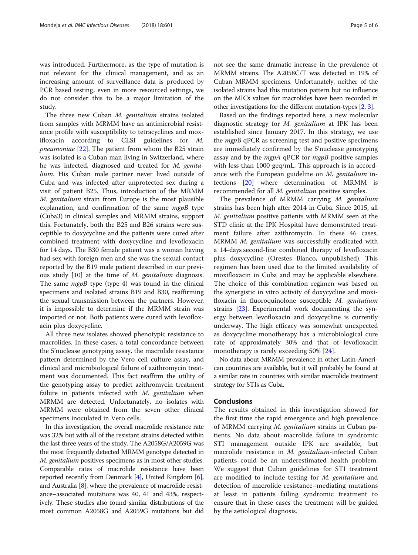The three new Cuban M. genitalium strains isolated from samples with MRMM have an antimicrobial resistance profile with susceptibility to tetracyclines and moxifloxacin according to CLSI guidelines for M. *pneumoniae*  $[22]$  $[22]$ . The patient from whom the B25 strain was isolated is a Cuban man living in Switzerland, where he was infected, diagnosed and treated for M. genitalium. His Cuban male partner never lived outside of Cuba and was infected after unprotected sex during a visit of patient B25. Thus, introduction of the MRMM M. genitalium strain from Europe is the most plausible explanation, and confirmation of the same  $mgpB$  type (Cuba3) in clinical samples and MRMM strains, support this. Fortunately, both the B25 and B26 strains were susceptible to doxycycline and the patients were cured after combined treatment with doxycycline and levofloxacin for 14 days. The B30 female patient was a woman having had sex with foreign men and she was the sexual contact reported by the B19 male patient described in our previous study [[10\]](#page-5-0) at the time of M. genitalium diagnosis. The same  $mqpB$  type (type 4) was found in the clinical specimens and isolated strains B19 and B30, reaffirming the sexual transmission between the partners. However, it is impossible to determine if the MRMM strain was imported or not. Both patients were cured with levofloxacin plus doxycycline.

All three new isolates showed phenotypic resistance to macrolides. In these cases, a total concordance between the 5'nuclease genotyping assay, the macrolide resistance pattern determined by the Vero cell culture assay, and clinical and microbiological failure of azithromycin treatment was documented. This fact reaffirm the utility of the genotyping assay to predict azithromycin treatment failure in patients infected with M. genitalium when MRMM are detected. Unfortunately, no isolates with MRMM were obtained from the seven other clinical specimens inoculated in Vero cells.

In this investigation, the overall macrolide resistance rate was 32% but with all of the resistant strains detected within the last three years of the study. The A2058G/A2059G was the most frequently detected MRMM genotype detected in M. genitalium positives specimens as in most other studies. Comparable rates of macrolide resistance have been reported recently from Denmark [\[4\]](#page-5-0), United Kingdom [[6](#page-5-0)], and Australia [\[8](#page-5-0)], where the prevalence of macrolide resistance–associated mutations was 40, 41 and 43%, respectively. These studies also found similar distributions of the most common A2058G and A2059G mutations but did not see the same dramatic increase in the prevalence of MRMM strains. The A2058C/T was detected in 19% of Cuban MRMM specimens. Unfortunately, neither of the isolated strains had this mutation pattern but no influence on the MICs values for macrolides have been recorded in other investigations for the different mutation-types [[2](#page-5-0), [3\]](#page-5-0).

Based on the findings reported here, a new molecular diagnostic strategy for M. genitalium at IPK has been established since January 2017. In this strategy, we use the *mgpB* qPCR as screening test and positive specimens are immediately confirmed by the 5'nuclease genotyping assay and by the *mgpA* qPCR for *mgpB* positive samples with less than 1000 geq/mL. This approach is in accordance with the European guideline on M. genitalium infections [[20\]](#page-5-0) where determination of MRMM is recommended for all M. genitalium positive samples.

The prevalence of MRMM carrying M. genitalium strains has been high after 2014 in Cuba. Since 2015, all M. genitalium positive patients with MRMM seen at the STD clinic at the IPK Hospital have demonstrated treatment failure after azithromycin. In these 46 cases, MRMM M. genitalium was successfully eradicated with a 14-days second-line combined therapy of levofloxacin plus doxycycline (Orestes Blanco, unpublished). This regimen has been used due to the limited availability of moxifloxacin in Cuba and may be applicable elsewhere. The choice of this combination regimen was based on the synergistic in vitro activity of doxycycline and moxifloxacin in fluoroquinolone susceptible M. genitalium strains [[23\]](#page-5-0). Experimental work documenting the synergy between levofloxacin and doxycycline is currently underway. The high efficacy was somewhat unexpected as doxycycline monotherapy has a microbiological cure rate of approximately 30% and that of levofloxacin monotherapy is rarely exceeding 50% [\[24](#page-5-0)].

No data about MRMM prevalence in other Latin-American countries are available, but it will probably be found at a similar rate in countries with similar macrolide treatment strategy for STIs as Cuba.

# **Conclusions**

The results obtained in this investigation showed for the first time the rapid emergence and high prevalence of MRMM carrying M. genitalium strains in Cuban patients. No data about macrolide failure in syndromic STI management outside IPK are available, but macrolide resistance in M. genitalium-infected Cuban patients could be an underestimated health problem. We suggest that Cuban guidelines for STI treatment are modified to include testing for M. genitalium and detection of macrolide resistance–mediating mutations at least in patients failing syndromic treatment to ensure that in these cases the treatment will be guided by the aetiological diagnosis.